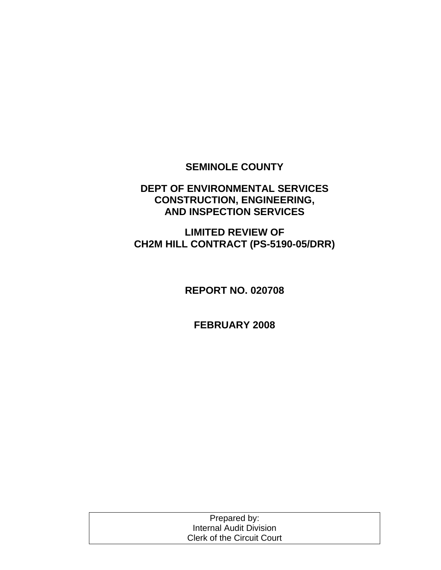# **SEMINOLE COUNTY**

### **DEPT OF ENVIRONMENTAL SERVICES CONSTRUCTION, ENGINEERING, AND INSPECTION SERVICES**

**LIMITED REVIEW OF CH2M HILL CONTRACT (PS-5190-05/DRR)** 

**REPORT NO. 020708** 

**FEBRUARY 2008** 

| Prepared by:                      |  |
|-----------------------------------|--|
| Internal Audit Division           |  |
| <b>Clerk of the Circuit Court</b> |  |
|                                   |  |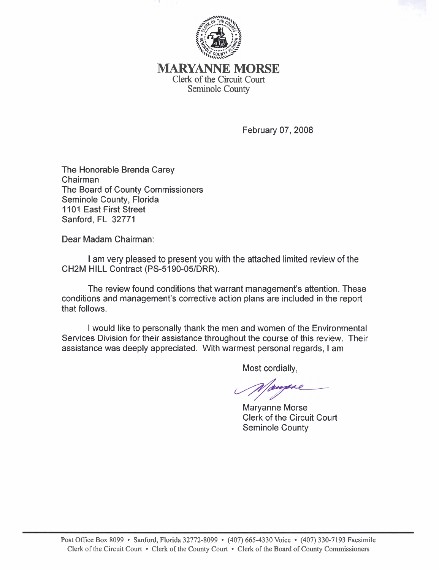

**lMARYANNE MORSE Clerk of the Circuit Court Seminole County** 

February 07,2008

The Honorable Brenda Carey Chairman The Board of County Commissioners Seminole County, Florida 1 101 East First Street Sanford, FL 32771

Dear Madam Chairman:

I am very pleased to present you with the attached limited review of the CH2M HILL Contract (PS-5190-05/DRR).

The review found conditions that warrant management's attention. These conditions and management's corrective action plans are included in the report that follows.

I would like to personally thank the men and women of the Environmental Services Division for their assistance throughout the course of this review. Their assistance was deeply appreciated. With warmest personal regards, I am

Most cordially,

Janque

Maryanne Morse Clerk of the Circuit Court Seminole County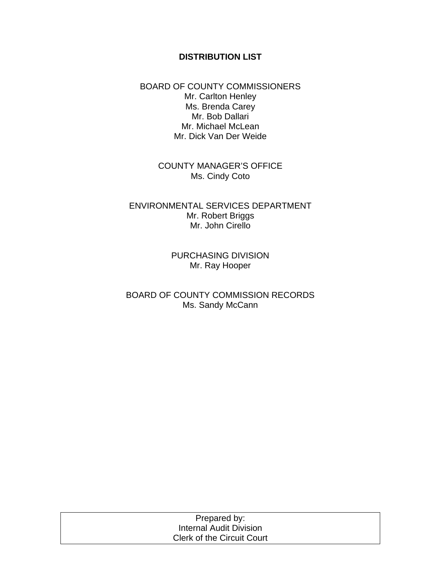#### **DISTRIBUTION LIST**

BOARD OF COUNTY COMMISSIONERS Mr. Carlton Henley Ms. Brenda Carey Mr. Bob Dallari Mr. Michael McLean Mr. Dick Van Der Weide

> COUNTY MANAGER'S OFFICE Ms. Cindy Coto

ENVIRONMENTAL SERVICES DEPARTMENT Mr. Robert Briggs Mr. John Cirello

> PURCHASING DIVISION Mr. Ray Hooper

BOARD OF COUNTY COMMISSION RECORDS Ms. Sandy McCann

| Prepared by:                      |  |
|-----------------------------------|--|
| Internal Audit Division           |  |
| <b>Clerk of the Circuit Court</b> |  |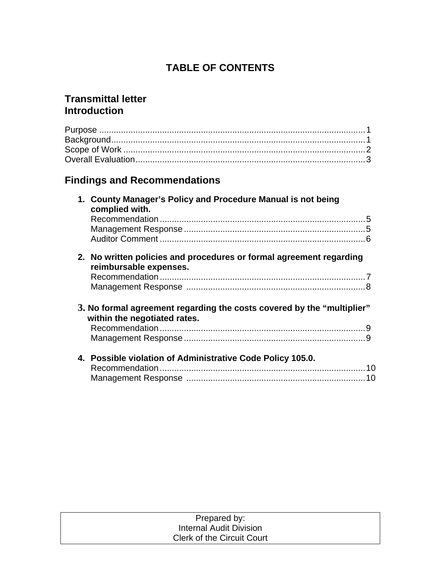# **TABLE OF CONTENTS**

# **Transmittal letter Introduction**

| <b>Findings and Recommendations</b>                                                                    |  |
|--------------------------------------------------------------------------------------------------------|--|
| 1. County Manager's Policy and Procedure Manual is not being<br>complied with.                         |  |
|                                                                                                        |  |
|                                                                                                        |  |
|                                                                                                        |  |
| 2. No written policies and procedures or formal agreement regarding<br>reimbursable expenses.          |  |
|                                                                                                        |  |
|                                                                                                        |  |
| 3. No formal agreement regarding the costs covered by the "multiplier"<br>within the negotiated rates. |  |
|                                                                                                        |  |
|                                                                                                        |  |
| 4. Possible violation of Administrative Code Policy 105.0.                                             |  |
|                                                                                                        |  |
|                                                                                                        |  |

| Prepared by:                      |  |
|-----------------------------------|--|
| Internal Audit Division           |  |
| <b>Clerk of the Circuit Court</b> |  |
|                                   |  |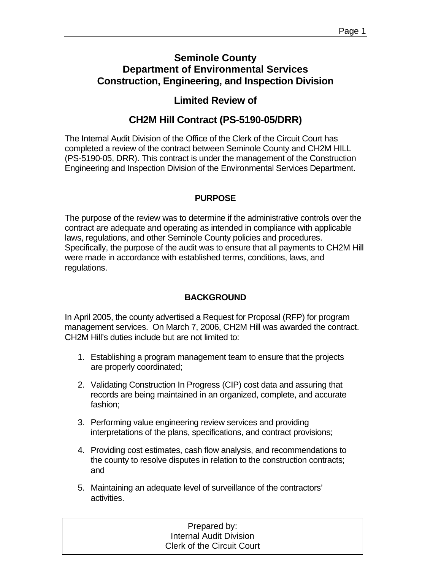### **Seminole County Department of Environmental Services Construction, Engineering, and Inspection Division**

# **Limited Review of**

# **CH2M Hill Contract (PS-5190-05/DRR)**

The Internal Audit Division of the Office of the Clerk of the Circuit Court has completed a review of the contract between Seminole County and CH2M HILL (PS-5190-05, DRR). This contract is under the management of the Construction Engineering and Inspection Division of the Environmental Services Department.

### **PURPOSE**

The purpose of the review was to determine if the administrative controls over the contract are adequate and operating as intended in compliance with applicable laws, regulations, and other Seminole County policies and procedures. Specifically, the purpose of the audit was to ensure that all payments to CH2M Hill were made in accordance with established terms, conditions, laws, and regulations.

### **BACKGROUND**

In April 2005, the county advertised a Request for Proposal (RFP) for program management services. On March 7, 2006, CH2M Hill was awarded the contract. CH2M Hill's duties include but are not limited to:

- 1. Establishing a program management team to ensure that the projects are properly coordinated;
- 2. Validating Construction In Progress (CIP) cost data and assuring that records are being maintained in an organized, complete, and accurate fashion;
- 3. Performing value engineering review services and providing interpretations of the plans, specifications, and contract provisions;
- 4. Providing cost estimates, cash flow analysis, and recommendations to the county to resolve disputes in relation to the construction contracts; and
- 5. Maintaining an adequate level of surveillance of the contractors' activities.

| Prepared by:                      |  |
|-----------------------------------|--|
| Internal Audit Division           |  |
| <b>Clerk of the Circuit Court</b> |  |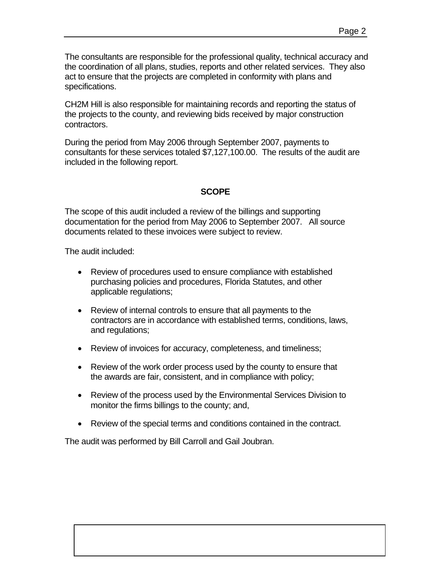The consultants are responsible for the professional quality, technical accuracy and the coordination of all plans, studies, reports and other related services. They also act to ensure that the projects are completed in conformity with plans and specifications.

CH2M Hill is also responsible for maintaining records and reporting the status of the projects to the county, and reviewing bids received by major construction contractors.

During the period from May 2006 through September 2007, payments to consultants for these services totaled \$7,127,100.00. The results of the audit are included in the following report.

### **SCOPE**

The scope of this audit included a review of the billings and supporting documentation for the period from May 2006 to September 2007. All source documents related to these invoices were subject to review.

The audit included:

- Review of procedures used to ensure compliance with established purchasing policies and procedures, Florida Statutes, and other applicable regulations;
- Review of internal controls to ensure that all payments to the contractors are in accordance with established terms, conditions, laws, and regulations;
- Review of invoices for accuracy, completeness, and timeliness;
- Review of the work order process used by the county to ensure that the awards are fair, consistent, and in compliance with policy;
- Review of the process used by the Environmental Services Division to monitor the firms billings to the county; and,
- Review of the special terms and conditions contained in the contract.

Prepared by:

The audit was performed by Bill Carroll and Gail Joubran.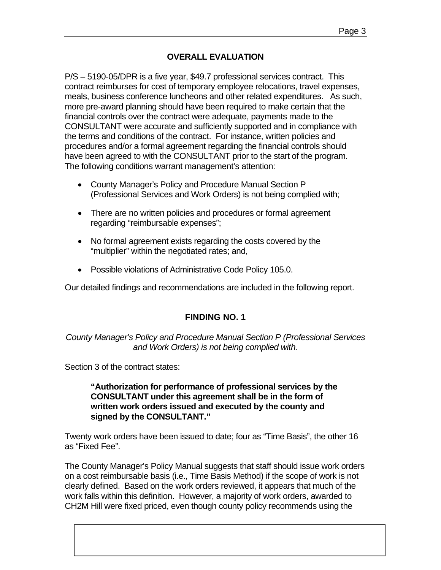### **OVERALL EVALUATION**

P/S – 5190-05/DPR is a five year, \$49.7 professional services contract. This contract reimburses for cost of temporary employee relocations, travel expenses, meals, business conference luncheons and other related expenditures. As such, more pre-award planning should have been required to make certain that the financial controls over the contract were adequate, payments made to the CONSULTANT were accurate and sufficiently supported and in compliance with the terms and conditions of the contract. For instance, written policies and procedures and/or a formal agreement regarding the financial controls should have been agreed to with the CONSULTANT prior to the start of the program. The following conditions warrant management's attention:

- County Manager's Policy and Procedure Manual Section P (Professional Services and Work Orders) is not being complied with;
- There are no written policies and procedures or formal agreement regarding "reimbursable expenses";
- No formal agreement exists regarding the costs covered by the "multiplier" within the negotiated rates; and,
- Possible violations of Administrative Code Policy 105.0.

Our detailed findings and recommendations are included in the following report.

#### **FINDING NO. 1**

*County Manager's Policy and Procedure Manual Section P (Professional Services and Work Orders) is not being complied with.* 

Section 3 of the contract states:

#### **"Authorization for performance of professional services by the CONSULTANT under this agreement shall be in the form of written work orders issued and executed by the county and signed by the CONSULTANT."**

Twenty work orders have been issued to date; four as "Time Basis", the other 16 as "Fixed Fee".

The County Manager's Policy Manual suggests that staff should issue work orders on a cost reimbursable basis (i.e., Time Basis Method) if the scope of work is not clearly defined. Based on the work orders reviewed, it appears that much of the work falls within this definition. However, a majority of work orders, awarded to CH2M Hill were fixed priced, even though county policy recommends using the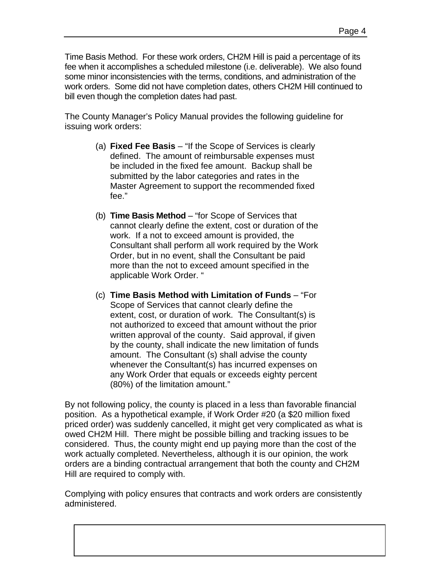Time Basis Method. For these work orders, CH2M Hill is paid a percentage of its fee when it accomplishes a scheduled milestone (i.e. deliverable). We also found some minor inconsistencies with the terms, conditions, and administration of the work orders. Some did not have completion dates, others CH2M Hill continued to bill even though the completion dates had past.

The County Manager's Policy Manual provides the following guideline for issuing work orders:

- (a) **Fixed Fee Basis** "If the Scope of Services is clearly defined. The amount of reimbursable expenses must be included in the fixed fee amount. Backup shall be submitted by the labor categories and rates in the Master Agreement to support the recommended fixed fee."
- (b) **Time Basis Method** "for Scope of Services that cannot clearly define the extent, cost or duration of the work. If a not to exceed amount is provided, the Consultant shall perform all work required by the Work Order, but in no event, shall the Consultant be paid more than the not to exceed amount specified in the applicable Work Order. "
- (c) **Time Basis Method with Limitation of Funds** "For Scope of Services that cannot clearly define the extent, cost, or duration of work. The Consultant(s) is not authorized to exceed that amount without the prior written approval of the county. Said approval, if given by the county, shall indicate the new limitation of funds amount. The Consultant (s) shall advise the county whenever the Consultant(s) has incurred expenses on any Work Order that equals or exceeds eighty percent (80%) of the limitation amount."

By not following policy, the county is placed in a less than favorable financial position. As a hypothetical example, if Work Order #20 (a \$20 million fixed priced order) was suddenly cancelled, it might get very complicated as what is owed CH2M Hill. There might be possible billing and tracking issues to be considered. Thus, the county might end up paying more than the cost of the work actually completed. Nevertheless, although it is our opinion, the work orders are a binding contractual arrangement that both the county and CH2M Hill are required to comply with.

Complying with policy ensures that contracts and work orders are consistently administered.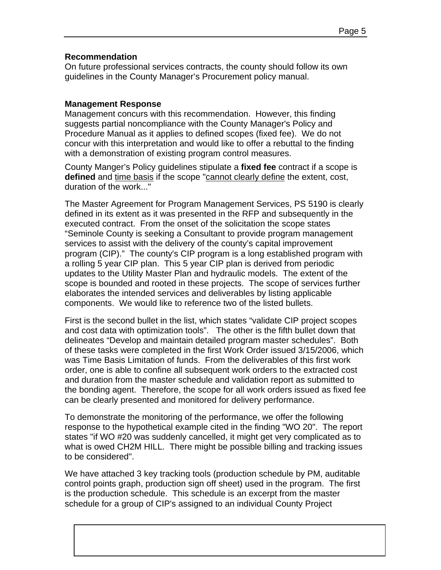#### **Recommendation**

On future professional services contracts, the county should follow its own guidelines in the County Manager's Procurement policy manual.

#### **Management Response**

Management concurs with this recommendation. However, this finding suggests partial noncompliance with the County Manager's Policy and Procedure Manual as it applies to defined scopes (fixed fee). We do not concur with this interpretation and would like to offer a rebuttal to the finding with a demonstration of existing program control measures.

County Manger's Policy guidelines stipulate a **fixed fee** contract if a scope is **defined** and time basis if the scope "cannot clearly define the extent, cost, duration of the work..."

The Master Agreement for Program Management Services, PS 5190 is clearly defined in its extent as it was presented in the RFP and subsequently in the executed contract. From the onset of the solicitation the scope states "Seminole County is seeking a Consultant to provide program management services to assist with the delivery of the county's capital improvement program (CIP)." The county's CIP program is a long established program with a rolling 5 year CIP plan. This 5 year CIP plan is derived from periodic updates to the Utility Master Plan and hydraulic models. The extent of the scope is bounded and rooted in these projects. The scope of services further elaborates the intended services and deliverables by listing applicable components. We would like to reference two of the listed bullets.

First is the second bullet in the list, which states "validate CIP project scopes and cost data with optimization tools". The other is the fifth bullet down that delineates "Develop and maintain detailed program master schedules". Both of these tasks were completed in the first Work Order issued 3/15/2006, which was Time Basis Limitation of funds. From the deliverables of this first work order, one is able to confine all subsequent work orders to the extracted cost and duration from the master schedule and validation report as submitted to the bonding agent. Therefore, the scope for all work orders issued as fixed fee can be clearly presented and monitored for delivery performance.

To demonstrate the monitoring of the performance, we offer the following response to the hypothetical example cited in the finding "WO 20". The report states "if WO #20 was suddenly cancelled, it might get very complicated as to what is owed CH2M HILL. There might be possible billing and tracking issues to be considered".

We have attached 3 key tracking tools (production schedule by PM, auditable control points graph, production sign off sheet) used in the program. The first is the production schedule. This schedule is an excerpt from the master schedule for a group of CIP's assigned to an individual County Project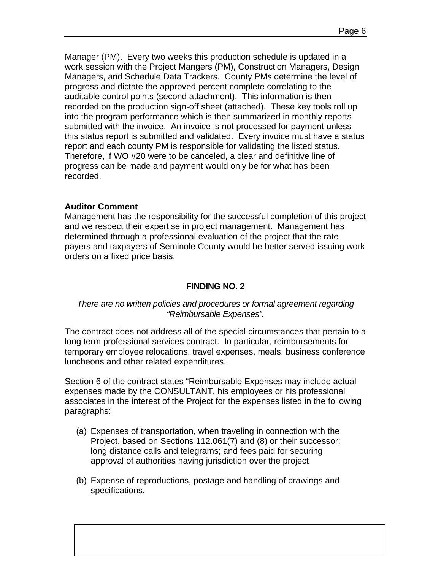Manager (PM). Every two weeks this production schedule is updated in a work session with the Project Mangers (PM), Construction Managers, Design Managers, and Schedule Data Trackers. County PMs determine the level of progress and dictate the approved percent complete correlating to the auditable control points (second attachment). This information is then recorded on the production sign-off sheet (attached). These key tools roll up into the program performance which is then summarized in monthly reports submitted with the invoice. An invoice is not processed for payment unless this status report is submitted and validated. Every invoice must have a status report and each county PM is responsible for validating the listed status. Therefore, if WO #20 were to be canceled, a clear and definitive line of progress can be made and payment would only be for what has been recorded.

#### **Auditor Comment**

Management has the responsibility for the successful completion of this project and we respect their expertise in project management. Management has determined through a professional evaluation of the project that the rate payers and taxpayers of Seminole County would be better served issuing work orders on a fixed price basis.

#### **FINDING NO. 2**

#### *There are no written policies and procedures or formal agreement regarding "Reimbursable Expenses".*

The contract does not address all of the special circumstances that pertain to a long term professional services contract. In particular, reimbursements for temporary employee relocations, travel expenses, meals, business conference luncheons and other related expenditures.

Section 6 of the contract states "Reimbursable Expenses may include actual expenses made by the CONSULTANT, his employees or his professional associates in the interest of the Project for the expenses listed in the following paragraphs:

- (a) Expenses of transportation, when traveling in connection with the Project, based on Sections 112.061(7) and (8) or their successor; long distance calls and telegrams; and fees paid for securing approval of authorities having jurisdiction over the project
- (b) Expense of reproductions, postage and handling of drawings and specifications.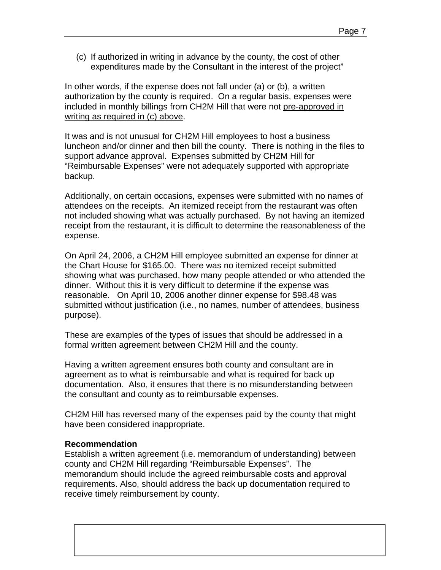(c) If authorized in writing in advance by the county, the cost of other expenditures made by the Consultant in the interest of the project"

In other words, if the expense does not fall under (a) or (b), a written authorization by the county is required. On a regular basis, expenses were included in monthly billings from CH2M Hill that were not pre-approved in writing as required in (c) above.

It was and is not unusual for CH2M Hill employees to host a business luncheon and/or dinner and then bill the county. There is nothing in the files to support advance approval. Expenses submitted by CH2M Hill for "Reimbursable Expenses" were not adequately supported with appropriate backup.

Additionally, on certain occasions, expenses were submitted with no names of attendees on the receipts. An itemized receipt from the restaurant was often not included showing what was actually purchased. By not having an itemized receipt from the restaurant, it is difficult to determine the reasonableness of the expense.

On April 24, 2006, a CH2M Hill employee submitted an expense for dinner at the Chart House for \$165.00. There was no itemized receipt submitted showing what was purchased, how many people attended or who attended the dinner. Without this it is very difficult to determine if the expense was reasonable. On April 10, 2006 another dinner expense for \$98.48 was submitted without justification (i.e., no names, number of attendees, business purpose).

These are examples of the types of issues that should be addressed in a formal written agreement between CH2M Hill and the county.

Having a written agreement ensures both county and consultant are in agreement as to what is reimbursable and what is required for back up documentation. Also, it ensures that there is no misunderstanding between the consultant and county as to reimbursable expenses.

CH2M Hill has reversed many of the expenses paid by the county that might have been considered inappropriate.

#### **Recommendation**

Establish a written agreement (i.e. memorandum of understanding) between county and CH2M Hill regarding "Reimbursable Expenses". The memorandum should include the agreed reimbursable costs and approval requirements. Also, should address the back up documentation required to receive timely reimbursement by county.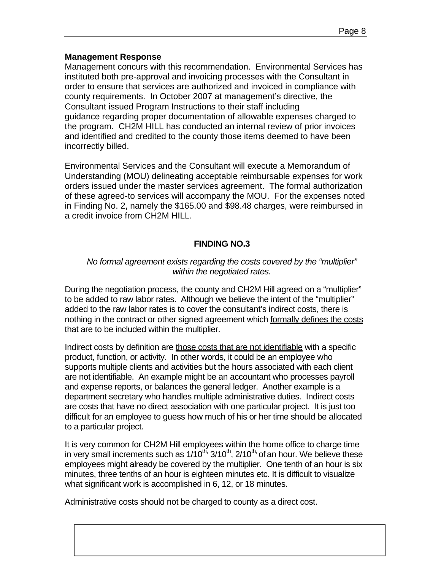#### **Management Response**

Management concurs with this recommendation. Environmental Services has instituted both pre-approval and invoicing processes with the Consultant in order to ensure that services are authorized and invoiced in compliance with county requirements. In October 2007 at management's directive, the Consultant issued Program Instructions to their staff including guidance regarding proper documentation of allowable expenses charged to the program. CH2M HILL has conducted an internal review of prior invoices and identified and credited to the county those items deemed to have been incorrectly billed.

Environmental Services and the Consultant will execute a Memorandum of Understanding (MOU) delineating acceptable reimbursable expenses for work orders issued under the master services agreement. The formal authorization of these agreed-to services will accompany the MOU. For the expenses noted in Finding No. 2, namely the \$165.00 and \$98.48 charges, were reimbursed in a credit invoice from CH2M HILL.

### **FINDING NO.3**

#### *No formal agreement exists regarding the costs covered by the "multiplier" within the negotiated rates.*

During the negotiation process, the county and CH2M Hill agreed on a "multiplier" to be added to raw labor rates. Although we believe the intent of the "multiplier" added to the raw labor rates is to cover the consultant's indirect costs, there is nothing in the contract or other signed agreement which formally defines the costs that are to be included within the multiplier.

Indirect costs by definition are those costs that are not identifiable with a specific product, function, or activity. In other words, it could be an employee who supports multiple clients and activities but the hours associated with each client are not identifiable. An example might be an accountant who processes payroll and expense reports, or balances the general ledger. Another example is a department secretary who handles multiple administrative duties. Indirect costs are costs that have no direct association with one particular project. It is just too difficult for an employee to guess how much of his or her time should be allocated to a particular project.

It is very common for CH2M Hill employees within the home office to charge time in very small increments such as  $1/10^{th}$ ,  $3/10^{th}$ ,  $2/10^{th}$ , of an hour. We believe these employees might already be covered by the multiplier. One tenth of an hour is six minutes, three tenths of an hour is eighteen minutes etc. It is difficult to visualize what significant work is accomplished in 6, 12, or 18 minutes.

Prepared by:

Administrative costs should not be charged to county as a direct cost.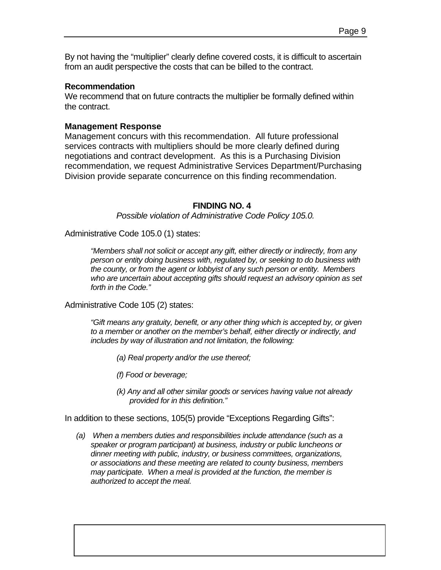By not having the "multiplier" clearly define covered costs, it is difficult to ascertain from an audit perspective the costs that can be billed to the contract.

#### **Recommendation**

We recommend that on future contracts the multiplier be formally defined within the contract.

#### **Management Response**

Management concurs with this recommendation. All future professional services contracts with multipliers should be more clearly defined during negotiations and contract development. As this is a Purchasing Division recommendation, we request Administrative Services Department/Purchasing Division provide separate concurrence on this finding recommendation.

#### **FINDING NO. 4**

*Possible violation of Administrative Code Policy 105.0.* 

Administrative Code 105.0 (1) states:

*"Members shall not solicit or accept any gift, either directly or indirectly, from any person or entity doing business with, regulated by, or seeking to do business with the county, or from the agent or lobbyist of any such person or entity. Members who are uncertain about accepting gifts should request an advisory opinion as set forth in the Code."* 

Administrative Code 105 (2) states:

*"Gift means any gratuity, benefit, or any other thing which is accepted by, or given to a member or another on the member's behalf, either directly or indirectly, and includes by way of illustration and not limitation, the following:* 

- *(a) Real property and/or the use thereof;*
- *(f) Food or beverage;*
- *(k) Any and all other similar goods or services having value not already provided for in this definition."*

In addition to these sections, 105(5) provide "Exceptions Regarding Gifts":

*(a) When a members duties and responsibilities include attendance (such as a speaker or program participant) at business, industry or public luncheons or dinner meeting with public, industry, or business committees, organizations, or associations and these meeting are related to county business, members may participate. When a meal is provided at the function, the member is authorized to accept the meal.*